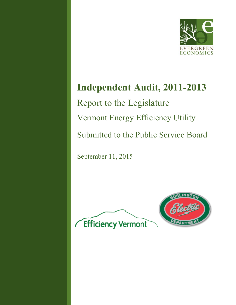

# **Independent Audit, 2011-2013** Report to the Legislature Vermont Energy Efficiency Utility Submitted to the Public Service Board

September 11, 2015

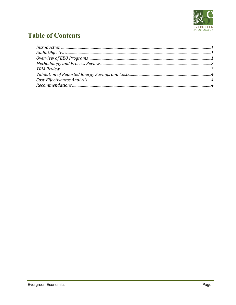

## **Table of Contents**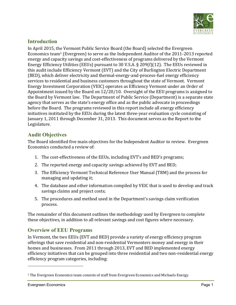

## **Introduction**

In April 2015, the Vermont Public Service Board (the Board) selected the Evergreen Economics team<sup>1</sup> (Evergreen) to serve as the Independent Auditor of the 2011-2013 reported energy and capacity savings and cost-effectiveness of programs delivered by the Vermont Energy Efficiency Utilities (EEUs) pursuant to 30 V.S.A. § 209(f)(12). The EEUs reviewed in this audit include Efficiency Vermont (EVT) and the City of Burlington Electric Department (BED), which deliver electricity and thermal-energy-and-process-fuel energy efficiency services to residential and business customers throughout the state of Vermont. Vermont Energy Investment Corporation (VEIC) operates as Efficiency Vermont under an Order of Appointment issued by the Board on 12/20/10. Oversight of the EEU programs is assigned to the Board by Vermont law. The Department of Public Service (Department) is a separate state agency that serves as the state's energy office and as the public advocate in proceedings before the Board. The programs reviewed in this report include all energy efficiency initiatives instituted by the EEUs during the latest three-year evaluation cycle consisting of January 1, 2011 through December 31, 2013. This document serves as the Report to the Legislature.

## **Audit Objectives**

The Board identified five main objectives for the Independent Auditor to review. Evergreen Economics conducted a review of:

- 1. The cost-effectiveness of the EEUs, including EVT's and BED's programs;
- 2. The reported energy and capacity savings achieved by EVT and BED;
- 3. The Efficiency Vermont Technical Reference User Manual (TRM) and the process for managing and updating it;
- 4. The database and other information compiled by VEIC that is used to develop and track savings claims and project costs;
- 5. The procedures and method used in the Department's savings claim verification process.

The remainder of this document outlines the methodology used by Evergreen to complete these objectives, in addition to all relevant savings and cost figures where necessary.

## **Overview of EEU Programs**

In Vermont, the two EEUs (EVT and BED) provide a variety of energy efficiency program offerings that save residential and non-residential Vermonters money and energy in their homes and businesses. From 2011 through 2013, EVT and BED implemented energy efficiency initiatives that can be grouped into three residential and two non-residential energy efficiency program categories, including:

l

<sup>&</sup>lt;sup>1</sup> The Evergreen Economics team consists of staff from Evergreen Economics and Michaels Energy.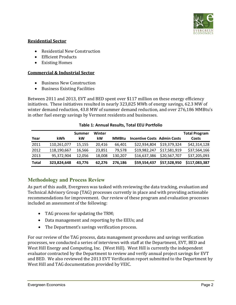

#### **Residential Sector**

- Residential New Construction
- Efficient Products
- Existing Homes

#### **Commercial & Industrial Sector**

- Business New Construction
- Business Existing Facilities

Between 2011 and 2013, EVT and BED spent over \$117 million on these energy efficiency initiatives. These initiatives resulted in nearly 323,825 MWh of energy savings, 62.3 MW of winter demand reduction, 43.8 MW of summer demand reduction, and over 276,186 MMBtu's in other fuel energy savings by Vermont residents and businesses.

| Year  | kWh         | Summer<br>kW | Winter<br>kW | <b>MMBtu</b> | <b>Incentive Costs Admin Costs</b> |              | <b>Total Program</b><br>Costs |
|-------|-------------|--------------|--------------|--------------|------------------------------------|--------------|-------------------------------|
| 2011  | 110,261,077 | 15,155       | 20.416       | 66.401       | \$22,934,804                       | \$19,379,324 | \$42,314,128                  |
| 2012  | 118,190,667 | 16,566       | 23,851       | 79.578       | \$19,982,247                       | \$17,581,919 | \$37,564,166                  |
| 2013  | 95,372,904  | 12,056       | 18,008       | 130,207      | \$16,637,386                       | \$20,567,707 | \$37,205,093                  |
| Total | 323,824,648 | 43.776       | 62,276       | 276,186      | \$59,554,437                       | \$57,528,950 | \$117,083,387                 |

#### **Table 1: Annual Results, Total EEU Portfolio**

## **Methodology and Process Review**

As part of this audit, Evergreen was tasked with reviewing the data tracking, evaluation and Technical Advisory Group (TAG) processes currently in place and with providing actionable recommendations for improvement. Our review of these program and evaluation processes included an assessment of the following:

- TAG process for updating the TRM;
- Data management and reporting by the EEUs; and
- The Department's savings verification process.

For our review of the TAG process, data management procedures and savings verification processes, we conducted a series of interviews with staff at the Department, EVT, BED and West Hill Energy and Computing, Inc. (West Hill). West Hill is currently the independent evaluator contracted by the Department to review and verify annual project savings for EVT and BED. We also reviewed the 2013 EVT Verification report submitted to the Department by West Hill and TAG documentation provided by VEIC.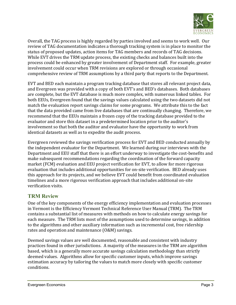

Overall, the TAG process is highly regarded by parties involved and seems to work well. Our review of TAG documentation indicates a thorough tracking system is in place to monitor the status of proposed updates, action items for TAG members and records of TAG decisions. While EVT drives the TRM update process, the existing checks and balances built into the process could be enhanced by greater involvement of Department staff. For example, greater involvement could occur when TRM revisions are explored or through occasional comprehensive review of TRM assumptions by a third party that reports to the Department.

EVT and BED each maintain a program tracking database that stores all relevant project data, and Evergreen was provided with a copy of both EVT's and BED's databases. Both databases are complete, but the EVT database is much more complex, with numerous linked tables. For both EEUs, Evergreen found that the savings values calculated using the two datasets did not match the evaluation report savings claims for some programs. We attribute this to the fact that the data provided came from live databases that are continually changing. Therefore, we recommend that the EEUs maintain a frozen copy of the tracking database provided to the evaluator and store this dataset in a predetermined location prior to the auditor's involvement so that both the auditor and evaluator have the opportunity to work from identical datasets as well as to expedite the audit process.

Evergreen reviewed the savings verification process for EVT and BED conducted annually by the independent evaluator for the Department. We learned during our interviews with the Department and EEU staff that there is an effort underway to investigate the cost-benefits and make subsequent recommendations regarding the coordination of the forward capacity market (FCM) evaluation and EEU project verification for EVT, to allow for more rigorous evaluation that includes additional opportunities for on-site verification. BED already uses this approach for its projects, and we believe EVT could benefit from coordinated evaluation timelines and a more rigorous verification approach that includes additional on-site verification visits.

## **TRM Review**

One of the key components of the energy efficiency implementation and evaluation processes in Vermont is the Efficiency Vermont Technical Reference User Manual (TRM). The TRM contains a substantial list of measures with methods on how to calculate energy savings for each measure. The TRM lists most of the assumptions used to determine savings, in addition to the algorithms and other auxiliary information such as incremental cost, free ridership rates and operation and maintenance (O&M) savings.

Deemed savings values are well documented, reasonable and consistent with industry practices found in other jurisdictions. A majority of the measures in the TRM are algorithm based, which is a generally more accurate savings calculation methodology than strictly deemed values. Algorithms allow for specific customer inputs, which improve savings estimation accuracy by tailoring the values to match more closely with specific customer conditions.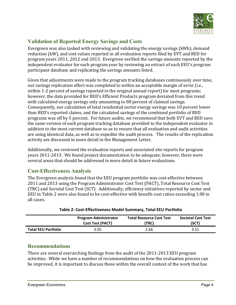

## **Validation of Reported Energy Savings and Costs**

Evergreen was also tasked with reviewing and validating the energy savings (kWh), demand reduction (kW), and cost values reported in all evaluation reports filed by EVT and BED for program years 2011, 2012 and 2013. Evergreen verified the savings amounts reported by the independent evaluator for each program year by reviewing an extract of each EEU's program participant database and replicating the savings amounts listed.

Given that adjustments were made to the program tracking databases continuously over time, our savings replication effort was completed to within an acceptable margin of error (i.e., within 1-2 percent of savings reported in the original annual report) for most programs; however, the data provided for BED's Efficient Products program deviated from this trend with calculated energy savings only amounting to 88 percent of claimed savings. Consequently, our calculation of total residential sector energy savings was 10 percent lower than BED's reported claims, and the calculated savings of the combined portfolio of BED programs was off by 5 percent. For future audits, we recommend that both EVT and BED save the same version of each program tracking database provided to the independent evaluator in addition to the most current database so as to ensure that all evaluation and audit activities are using identical data, as well as to expedite the audit process. The results of the replication activity are discussed in more detail in the Management Letter.

Additionally, we reviewed the evaluation reports and associated site reports for program years 2011-2013. We found project documentation to be adequate; however, there were several areas that should be addressed in more detail in future evaluations.

## **Cost-Effectiveness Analysis**

The Evergreen analysis found that the EEU program portfolio was cost-effective between 2011 and 2013 using the Program Administrator Cost Test (PACT), Total Resource Cost Test (TRC) and Societal Cost Test (SCT). Additionally, efficiency initiatives reported by sector and EEU in Table 2 were also found to be cost-effective with benefit-cost ratios exceeding 1.00 in all cases.

|                            | <b>Program Administrator</b> | <b>Total Resource Cost Test</b> | <b>Societal Cost Test</b> |
|----------------------------|------------------------------|---------------------------------|---------------------------|
|                            | <b>Cost Test (PACT)</b>      | (TRC)                           | (SCT)                     |
| <b>Total EEU Portfolio</b> | 3.05                         | 2.66                            | 3.51                      |

### **Recommendations**

There are several overarching findings from the audit of the 2011-2013 EEU program activities. While we have a number of recommendations on how the evaluation process can be improved, it is important to discuss these within the overall context of the work that has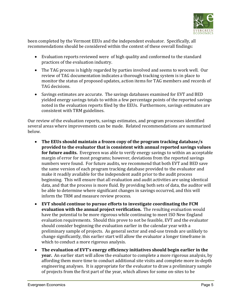

been completed by the Vermont EEUs and the independent evaluator. Specifically, all recommendations should be considered within the context of these overall findings:

- Evaluation reports reviewed were of high quality and conformed to the standard practices of the evaluation industry.
- The TAG process is highly regarded by parties involved and seems to work well. Our review of TAG documentation indicates a thorough tracking system is in place to monitor the status of proposed updates, action items for TAG members and records of TAG decisions.
- Savings estimates are accurate. The savings databases examined for EVT and BED yielded energy savings totals to within a few percentage points of the reported savings noted in the evaluation reports filed by the EEUs. Furthermore, savings estimates are consistent with TRM guidelines.

Our review of the evaluation reports, savings estimates, and program processes identified several areas where improvements can be made. Related recommendations are summarized below.

- **The EEUs should maintain a frozen copy of the program tracking database/s provided to the evaluator that is consistent with annual reported savings values for future audits.** Evergreen was able to verify energy savings to within an acceptable margin of error for most programs; however, deviations from the reported savings numbers were found. For future audits, we recommend that both EVT and BED save the same version of each program tracking database provided to the evaluator and make it readily available for the independent audit prior to the audit process beginning. This will ensure that all evaluation and audit activities are using identical data, and that the process is more fluid. By providing both sets of data, the auditor will be able to determine where significant changes in savings occurred, and this will inform the TRM and measure review process.
- **EVT should continue to pursue efforts to investigate coordinating the FCM evaluation with the annual project verification.** The resulting evaluation would have the potential to be more rigorous while continuing to meet ISO New England evaluation requirements. Should this prove to not be feasible, EVT and the evaluator should consider beginning the evaluation earlier in the calendar year with a preliminary sample of projects. As general sector and end-use trends are unlikely to change significantly, this earlier start will allow the evaluator a longer timeframe in which to conduct a more rigorous analysis.
- **The evaluation of EVT's energy efficiency initiatives should begin earlier in the year.** An earlier start will allow the evaluator to complete a more rigorous analysis, by affording them more time to conduct additional site visits and complete more in-depth engineering analyses. It is appropriate for the evaluator to draw a preliminary sample of projects from the first part of the year, which allows for some on-sites to be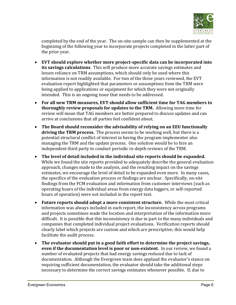

completed by the end of the year. The on-site sample can then be supplemented at the beginning of the following year to incorporate projects completed in the latter part of the prior year.

- **EVT should explore whether more project-specific data can be incorporated into its savings calculations**. This will produce more accurate savings estimates and lessen reliance on TRM assumptions, which should only be used where this information is not readily available. For two of the three years reviewed, the EVT evaluation report highlighted that parameters or assumptions from the TRM were being applied to applications or equipment for which they were not originally intended. This is an ongoing issue that needs to be addressed.
- **For all new TRM measures, EVT should allow sufficient time for TAG members to thoroughly review proposals for updates to the TRM.** Allowing more time for review will mean that TAG members are better prepared to discuss updates and can arrive at conclusions that all parties feel confident about.
- **The Board should reconsider the advisability of relying on an EEU functionally driving the TRM process.** The process seems to be working well, but there is a potential structural conflict of interest in having the program implementer also managing the TRM and the update process. One solution would be to hire an independent third party to conduct periodic in-depth reviews of the TRM.
- **The level of detail included in the individual site reports should be expanded.**  While we found the site reports provided to adequately describe the general evaluation approach, changes made to the analysis, and the resulting impact on the savings estimates, we encourage the level of detail to be expanded even more. In many cases, the specifics of the evaluation process or findings are unclear. Specifically, on-site findings from the FCM evaluation and information from customer interviews (such as operating hours of the individual areas from energy data loggers, or self-reported hours of operation) were not included in the report text.
- **Future reports should adopt a more consistent structure.** While the most critical information was always included in each report, the inconsistency across programs and projects sometimes made the location and interpretation of the information more difficult. It is possible that this inconsistency is due in part to the many individuals and companies that completed individual project evaluations. Verification reports should clearly label which projects are custom and which are prescriptive; this would help facilitate the audit process.
- **The evaluator should put in a good faith effort to determine the project savings, even if the documentation level is poor or non-existent.** In our review, we found a number of evaluated projects that had energy savings reduced due to lack of documentation. Although the Evergreen team does applaud the evaluator's stance on requiring sufficient documentation, the evaluator should take the additional steps necessary to determine the correct savings estimates whenever possible. If, due to